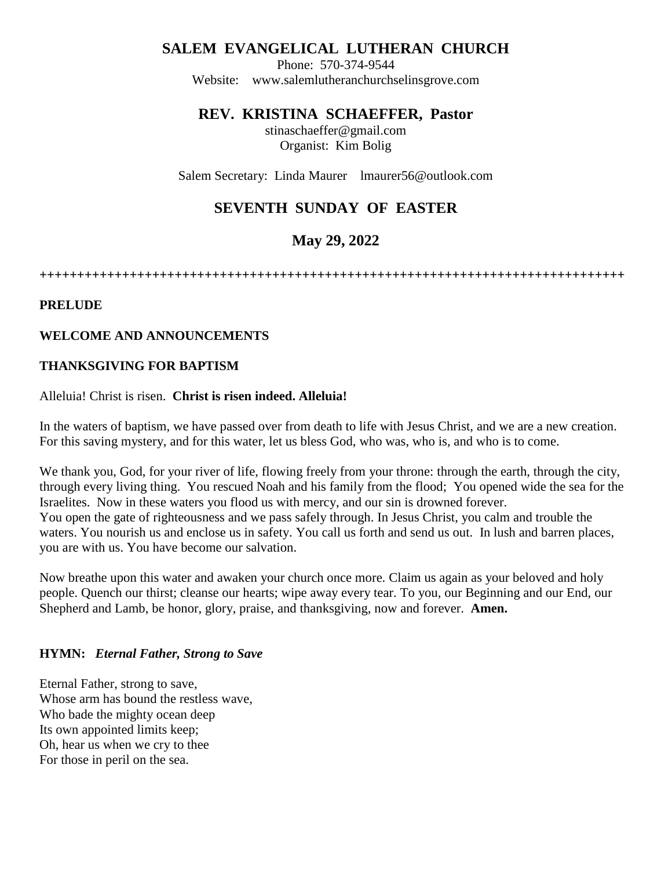## **SALEM EVANGELICAL LUTHERAN CHURCH**

Phone: 570-374-9544 Website: [www.salemlutheranchurchselinsgrove.com](about:blank)

## **REV. KRISTINA SCHAEFFER, Pastor**

stinaschaeffer@gmail.com Organist: Kim Bolig

Salem Secretary: Linda Maurer lmaurer56@outlook.com

# **SEVENTH SUNDAY OF EASTER**

# **May 29, 2022**

**++++++++++++++++++++++++++++++++++++++++++++++++++++++++++++++++++++++++++++++**

#### **PRELUDE**

#### **WELCOME AND ANNOUNCEMENTS**

#### **THANKSGIVING FOR BAPTISM**

#### Alleluia! Christ is risen. **Christ is risen indeed. Alleluia!**

In the waters of baptism, we have passed over from death to life with Jesus Christ, and we are a new creation. For this saving mystery, and for this water, let us bless God, who was, who is, and who is to come.

We thank you, God, for your river of life, flowing freely from your throne: through the earth, through the city, through every living thing. You rescued Noah and his family from the flood; You opened wide the sea for the Israelites. Now in these waters you flood us with mercy, and our sin is drowned forever. You open the gate of righteousness and we pass safely through. In Jesus Christ, you calm and trouble the waters. You nourish us and enclose us in safety. You call us forth and send us out. In lush and barren places, you are with us. You have become our salvation.

Now breathe upon this water and awaken your church once more. Claim us again as your beloved and holy people. Quench our thirst; cleanse our hearts; wipe away every tear. To you, our Beginning and our End, our Shepherd and Lamb, be honor, glory, praise, and thanksgiving, now and forever. **Amen.**

#### **HYMN:** *Eternal Father, Strong to Save*

Eternal Father, strong to save, Whose arm has bound the restless wave, Who bade the mighty ocean deep Its own appointed limits keep; Oh, hear us when we cry to thee For those in peril on the sea.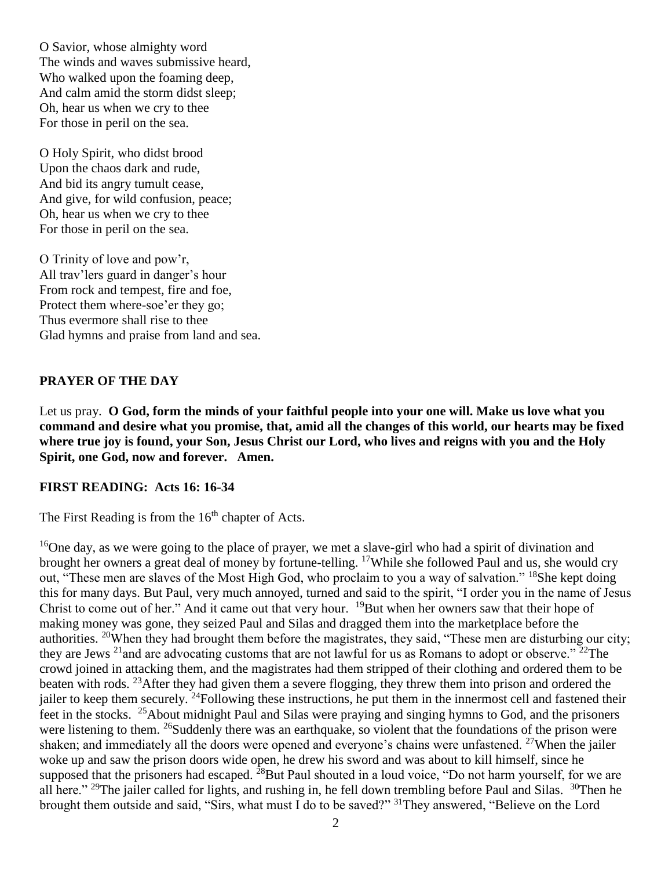O Savior, whose almighty word The winds and waves submissive heard, Who walked upon the foaming deep, And calm amid the storm didst sleep; Oh, hear us when we cry to thee For those in peril on the sea.

O Holy Spirit, who didst brood Upon the chaos dark and rude, And bid its angry tumult cease, And give, for wild confusion, peace; Oh, hear us when we cry to thee For those in peril on the sea.

O Trinity of love and pow'r, All trav'lers guard in danger's hour From rock and tempest, fire and foe, Protect them where-soe'er they go; Thus evermore shall rise to thee Glad hymns and praise from land and sea.

#### **PRAYER OF THE DAY**

Let us pray. **O God, form the minds of your faithful people into your one will. Make us love what you command and desire what you promise, that, amid all the changes of this world, our hearts may be fixed where true joy is found, your Son, Jesus Christ our Lord, who lives and reigns with you and the Holy Spirit, one God, now and forever. Amen.**

#### **FIRST READING: Acts 16: 16-34**

The First Reading is from the  $16<sup>th</sup>$  chapter of Acts.

<sup>16</sup>One day, as we were going to the place of prayer, we met a slave-girl who had a spirit of divination and brought her owners a great deal of money by fortune-telling. <sup>17</sup>While she followed Paul and us, she would cry out, "These men are slaves of the Most High God, who proclaim to you a way of salvation." <sup>18</sup>She kept doing this for many days. But Paul, very much annoyed, turned and said to the spirit, "I order you in the name of Jesus Christ to come out of her." And it came out that very hour. <sup>19</sup>But when her owners saw that their hope of making money was gone, they seized Paul and Silas and dragged them into the marketplace before the authorities. <sup>20</sup>When they had brought them before the magistrates, they said, "These men are disturbing our city; they are Jews  $^{21}$  and are advocating customs that are not lawful for us as Romans to adopt or observe."  $^{22}$ The crowd joined in attacking them, and the magistrates had them stripped of their clothing and ordered them to be beaten with rods. <sup>23</sup>After they had given them a severe flogging, they threw them into prison and ordered the jailer to keep them securely. <sup>24</sup>Following these instructions, he put them in the innermost cell and fastened their feet in the stocks. <sup>25</sup>About midnight Paul and Silas were praying and singing hymns to God, and the prisoners were listening to them. <sup>26</sup>Suddenly there was an earthquake, so violent that the foundations of the prison were shaken; and immediately all the doors were opened and everyone's chains were unfastened.  $27$ When the jailer woke up and saw the prison doors wide open, he drew his sword and was about to kill himself, since he supposed that the prisoners had escaped.  $^{28}$ But Paul shouted in a loud voice, "Do not harm yourself, for we are all here."<sup>29</sup>The jailer called for lights, and rushing in, he fell down trembling before Paul and Silas. <sup>30</sup>Then he brought them outside and said, "Sirs, what must I do to be saved?" <sup>31</sup>They answered, "Believe on the Lord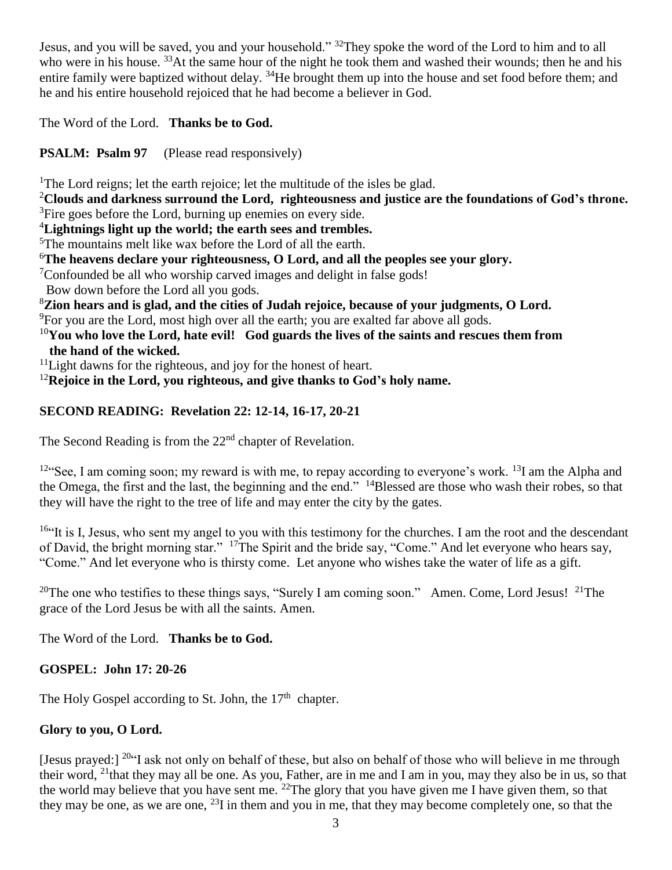Jesus, and you will be saved, you and your household." <sup>32</sup>They spoke the word of the Lord to him and to all who were in his house. <sup>33</sup>At the same hour of the night he took them and washed their wounds; then he and his entire family were baptized without delay. <sup>34</sup>He brought them up into the house and set food before them; and he and his entire household rejoiced that he had become a believer in God.

The Word of the Lord. **Thanks be to God.** 

**PSALM: Psalm 97** (Please read responsively)

<sup>1</sup>The Lord reigns; let the earth rejoice; let the multitude of the isles be glad.

<sup>2</sup>**Clouds and darkness surround the Lord, righteousness and justice are the foundations of God's throne.** <sup>3</sup>Fire goes before the Lord, burning up enemies on every side.

<sup>4</sup>**Lightnings light up the world; the earth sees and trembles.**

<sup>5</sup>The mountains melt like wax before the Lord of all the earth.

<sup>6</sup>**The heavens declare your righteousness, O Lord, and all the peoples see your glory.**

<sup>7</sup>Confounded be all who worship carved images and delight in false gods!

Bow down before the Lord all you gods.

<sup>8</sup>**Zion hears and is glad, and the cities of Judah rejoice, because of your judgments, O Lord.**

<sup>9</sup>For you are the Lord, most high over all the earth; you are exalted far above all gods.

<sup>10</sup>**You who love the Lord, hate evil! God guards the lives of the saints and rescues them from the hand of the wicked.**

 $11$ Light dawns for the righteous, and joy for the honest of heart.

<sup>12</sup>**Rejoice in the Lord, you righteous, and give thanks to God's holy name.**

## **SECOND READING: Revelation 22: 12-14, 16-17, 20-21**

The Second Reading is from the 22<sup>nd</sup> chapter of Revelation.

<sup>12"</sup>See, I am coming soon; my reward is with me, to repay according to everyone's work. <sup>13</sup>I am the Alpha and the Omega, the first and the last, the beginning and the end."  $14B$ lessed are those who wash their robes, so that they will have the right to the tree of life and may enter the city by the gates.

 $16$ "It is I, Jesus, who sent my angel to you with this testimony for the churches. I am the root and the descendant of David, the bright morning star." <sup>17</sup>The Spirit and the bride say, "Come." And let everyone who hears say, "Come." And let everyone who is thirsty come. Let anyone who wishes take the water of life as a gift.

<sup>20</sup>The one who testifies to these things says, "Surely I am coming soon." Amen. Come, Lord Jesus! <sup>21</sup>The grace of the Lord Jesus be with all the saints. Amen.

The Word of the Lord. **Thanks be to God.** 

**GOSPEL: John 17: 20-26**

The Holy Gospel according to St. John, the  $17<sup>th</sup>$  chapter.

## **Glory to you, O Lord.**

[Jesus prayed:] <sup>20</sup>"I ask not only on behalf of these, but also on behalf of those who will believe in me through their word, <sup>21</sup>that they may all be one. As you, Father, are in me and I am in you, may they also be in us, so that the world may believe that you have sent me. <sup>22</sup>The glory that you have given me I have given them, so that they may be one, as we are one,  $^{23}$ I in them and you in me, that they may become completely one, so that the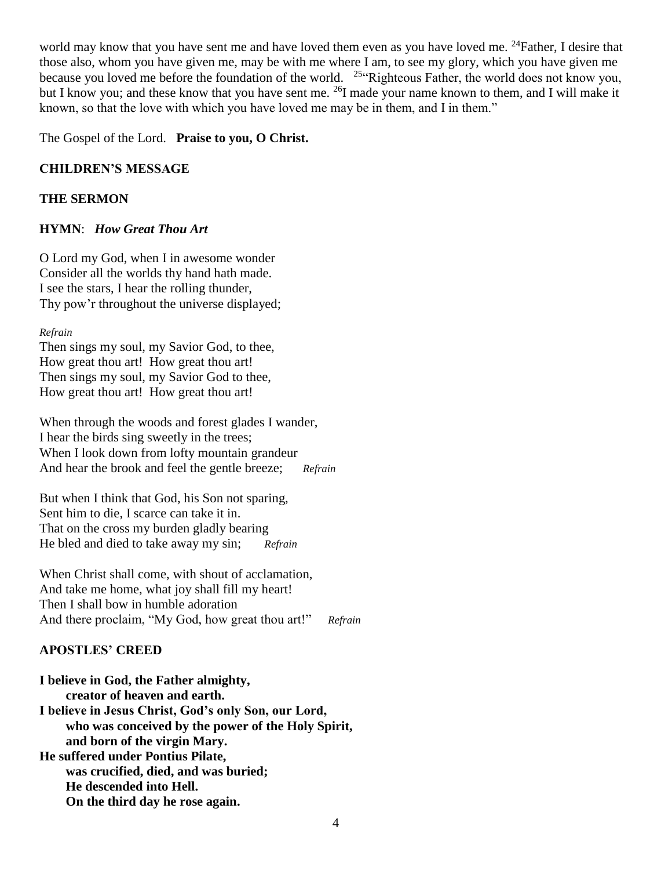world may know that you have sent me and have loved them even as you have loved me. <sup>24</sup>Father, I desire that those also, whom you have given me, may be with me where I am, to see my glory, which you have given me because you loved me before the foundation of the world. <sup>25</sup> Righteous Father, the world does not know you, but I know you; and these know that you have sent me. <sup>26</sup>I made your name known to them, and I will make it known, so that the love with which you have loved me may be in them, and I in them."

The Gospel of the Lord. **Praise to you, O Christ.** 

#### **CHILDREN'S MESSAGE**

#### **THE SERMON**

#### **HYMN**: *How Great Thou Art*

O Lord my God, when I in awesome wonder Consider all the worlds thy hand hath made. I see the stars, I hear the rolling thunder, Thy pow'r throughout the universe displayed;

#### *Refrain*

Then sings my soul, my Savior God, to thee, How great thou art! How great thou art! Then sings my soul, my Savior God to thee, How great thou art! How great thou art!

When through the woods and forest glades I wander, I hear the birds sing sweetly in the trees; When I look down from lofty mountain grandeur And hear the brook and feel the gentle breeze; *Refrain*

But when I think that God, his Son not sparing, Sent him to die, I scarce can take it in. That on the cross my burden gladly bearing He bled and died to take away my sin; *Refrain*

When Christ shall come, with shout of acclamation, And take me home, what joy shall fill my heart! Then I shall bow in humble adoration And there proclaim, "My God, how great thou art!" *Refrain*

### **APOSTLES' CREED**

**I believe in God, the Father almighty, creator of heaven and earth. I believe in Jesus Christ, God's only Son, our Lord, who was conceived by the power of the Holy Spirit, and born of the virgin Mary. He suffered under Pontius Pilate, was crucified, died, and was buried; He descended into Hell. On the third day he rose again.**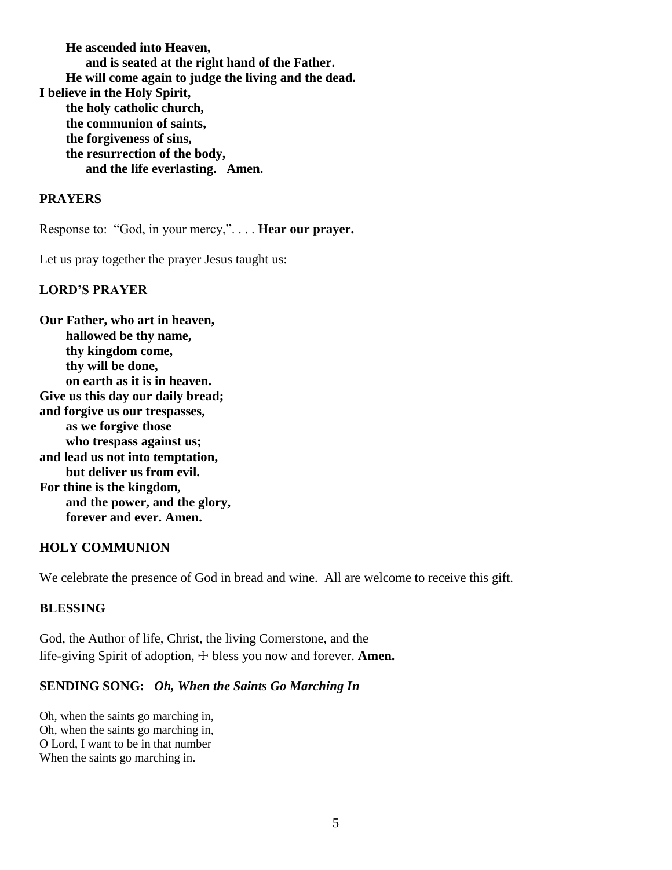**He ascended into Heaven, and is seated at the right hand of the Father. He will come again to judge the living and the dead. I believe in the Holy Spirit, the holy catholic church, the communion of saints, the forgiveness of sins, the resurrection of the body, and the life everlasting. Amen.**

#### **PRAYERS**

Response to: "God, in your mercy,". . . . **Hear our prayer.**

Let us pray together the prayer Jesus taught us:

#### **LORD'S PRAYER**

**Our Father, who art in heaven, hallowed be thy name, thy kingdom come, thy will be done, on earth as it is in heaven. Give us this day our daily bread; and forgive us our trespasses, as we forgive those who trespass against us; and lead us not into temptation, but deliver us from evil. For thine is the kingdom, and the power, and the glory, forever and ever. Amen.**

#### **HOLY COMMUNION**

We celebrate the presence of God in bread and wine. All are welcome to receive this gift.

#### **BLESSING**

God, the Author of life, Christ, the living Cornerstone, and the life-giving Spirit of adoption,  $\pm$  bless you now and forever. **Amen.** 

#### **SENDING SONG:** *Oh, When the Saints Go Marching In*

Oh, when the saints go marching in, Oh, when the saints go marching in, O Lord, I want to be in that number When the saints go marching in.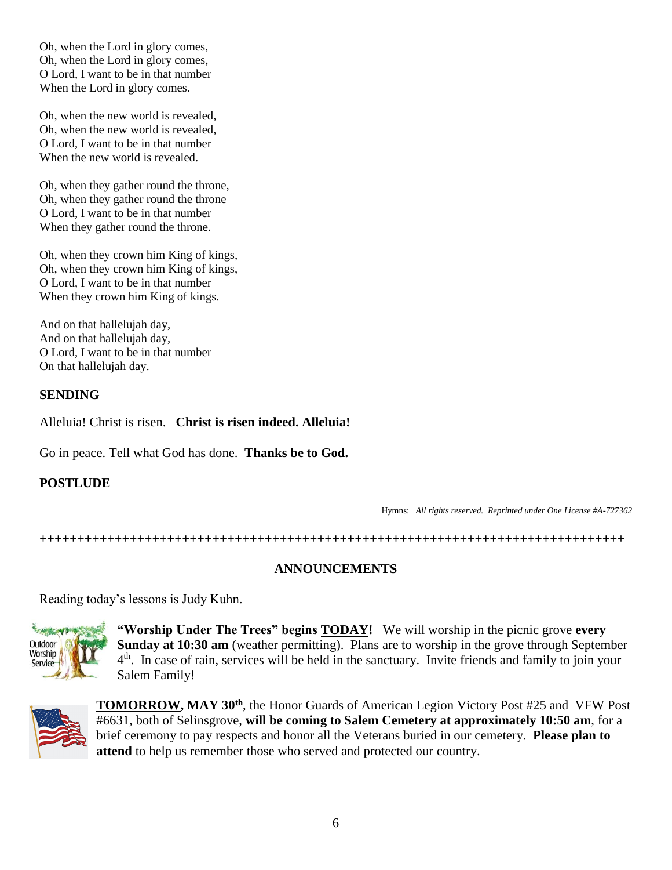Oh, when the Lord in glory comes, Oh, when the Lord in glory comes, O Lord, I want to be in that number When the Lord in glory comes.

Oh, when the new world is revealed, Oh, when the new world is revealed, O Lord, I want to be in that number When the new world is revealed.

Oh, when they gather round the throne, Oh, when they gather round the throne O Lord, I want to be in that number When they gather round the throne.

Oh, when they crown him King of kings, Oh, when they crown him King of kings, O Lord, I want to be in that number When they crown him King of kings.

And on that hallelujah day, And on that hallelujah day, O Lord, I want to be in that number On that hallelujah day.

#### **SENDING**

Alleluia! Christ is risen. **Christ is risen indeed. Alleluia!**

Go in peace. Tell what God has done. **Thanks be to God.**

### **POSTLUDE**

Hymns: *All rights reserved. Reprinted under One License #A-727362*

**++++++++++++++++++++++++++++++++++++++++++++++++++++++++++++++++++++++++++++++**

#### **ANNOUNCEMENTS**

Reading today's lessons is Judy Kuhn.



**"Worship Under The Trees" begins TODAY!** We will worship in the picnic grove **every Sunday at 10:30 am** (weather permitting). Plans are to worship in the grove through September 4<sup>th</sup>. In case of rain, services will be held in the sanctuary. Invite friends and family to join your Salem Family!



**TOMORROW, MAY 30th**, the Honor Guards of American Legion Victory Post #25 and VFW Post #6631, both of Selinsgrove, **will be coming to Salem Cemetery at approximately 10:50 am**, for a brief ceremony to pay respects and honor all the Veterans buried in our cemetery. **Please plan to attend** to help us remember those who served and protected our country.